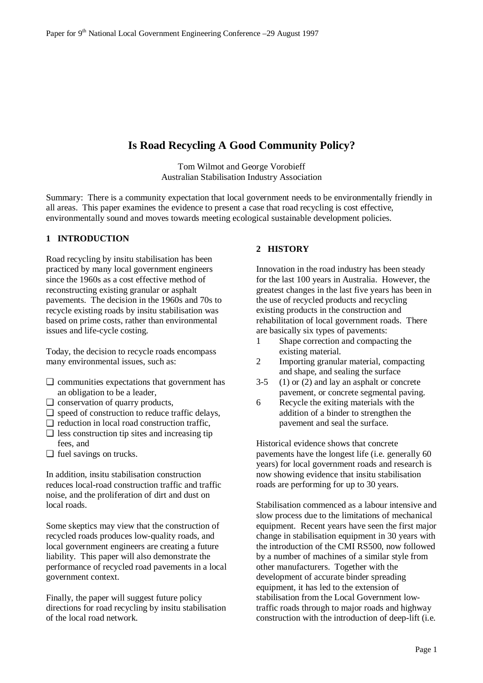# **Is Road Recycling A Good Community Policy?**

Tom Wilmot and George Vorobieff Australian Stabilisation Industry Association

Summary: There is a community expectation that local government needs to be environmentally friendly in all areas. This paper examines the evidence to present a case that road recycling is cost effective, environmentally sound and moves towards meeting ecological sustainable development policies.

### **1 INTRODUCTION**

Road recycling by insitu stabilisation has been practiced by many local government engineers since the 1960s as a cost effective method of reconstructing existing granular or asphalt pavements. The decision in the 1960s and 70s to recycle existing roads by insitu stabilisation was based on prime costs, rather than environmental issues and life-cycle costing.

Today, the decision to recycle roads encompass many environmental issues, such as:

- ❏ communities expectations that government has an obligation to be a leader,
- ❏ conservation of quarry products,
- ❏ speed of construction to reduce traffic delays,
- ❏ reduction in local road construction traffic,  $\Box$  less construction tip sites and increasing tip
- fees, and
- ❏ fuel savings on trucks.

In addition, insitu stabilisation construction reduces local-road construction traffic and traffic noise, and the proliferation of dirt and dust on local roads.

Some skeptics may view that the construction of recycled roads produces low-quality roads, and local government engineers are creating a future liability. This paper will also demonstrate the performance of recycled road pavements in a local government context.

Finally, the paper will suggest future policy directions for road recycling by insitu stabilisation of the local road network.

### **2 HISTORY**

Innovation in the road industry has been steady for the last 100 years in Australia. However, the greatest changes in the last five years has been in the use of recycled products and recycling existing products in the construction and rehabilitation of local government roads. There are basically six types of pavements:

- 1 Shape correction and compacting the existing material.
- 2 Importing granular material, compacting and shape, and sealing the surface
- $3-5$  (1) or (2) and lay an asphalt or concrete pavement, or concrete segmental paving.
- 6 Recycle the exiting materials with the addition of a binder to strengthen the pavement and seal the surface.

Historical evidence shows that concrete pavements have the longest life (i.e. generally 60 years) for local government roads and research is now showing evidence that insitu stabilisation roads are performing for up to 30 years.

Stabilisation commenced as a labour intensive and slow process due to the limitations of mechanical equipment. Recent years have seen the first major change in stabilisation equipment in 30 years with the introduction of the CMI RS500, now followed by a number of machines of a similar style from other manufacturers. Together with the development of accurate binder spreading equipment, it has led to the extension of stabilisation from the Local Government lowtraffic roads through to major roads and highway construction with the introduction of deep-lift (i.e.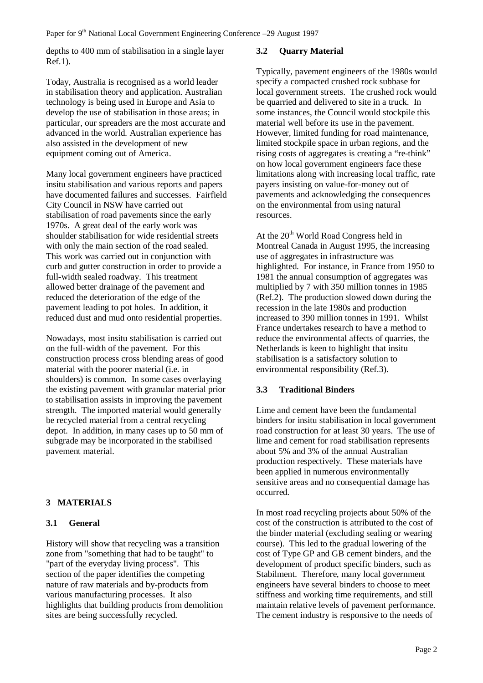depths to 400 mm of stabilisation in a single layer Ref.1).

Today, Australia is recognised as a world leader in stabilisation theory and application. Australian technology is being used in Europe and Asia to develop the use of stabilisation in those areas; in particular, our spreaders are the most accurate and advanced in the world. Australian experience has also assisted in the development of new equipment coming out of America.

Many local government engineers have practiced insitu stabilisation and various reports and papers have documented failures and successes. Fairfield City Council in NSW have carried out stabilisation of road pavements since the early 1970s. A great deal of the early work was shoulder stabilisation for wide residential streets with only the main section of the road sealed. This work was carried out in conjunction with curb and gutter construction in order to provide a full-width sealed roadway. This treatment allowed better drainage of the pavement and reduced the deterioration of the edge of the pavement leading to pot holes. In addition, it reduced dust and mud onto residential properties.

Nowadays, most insitu stabilisation is carried out on the full-width of the pavement. For this construction process cross blending areas of good material with the poorer material (i.e. in shoulders) is common. In some cases overlaying the existing pavement with granular material prior to stabilisation assists in improving the pavement strength. The imported material would generally be recycled material from a central recycling depot. In addition, in many cases up to 50 mm of subgrade may be incorporated in the stabilised pavement material.

## **3 MATERIALS**

## **3.1 General**

History will show that recycling was a transition zone from "something that had to be taught" to "part of the everyday living process". This section of the paper identifies the competing nature of raw materials and by-products from various manufacturing processes. It also highlights that building products from demolition sites are being successfully recycled.

## **3.2 Quarry Material**

Typically, pavement engineers of the 1980s would specify a compacted crushed rock subbase for local government streets. The crushed rock would be quarried and delivered to site in a truck. In some instances, the Council would stockpile this material well before its use in the pavement. However, limited funding for road maintenance, limited stockpile space in urban regions, and the rising costs of aggregates is creating a "re-think" on how local government engineers face these limitations along with increasing local traffic, rate payers insisting on value-for-money out of pavements and acknowledging the consequences on the environmental from using natural resources.

At the  $20<sup>th</sup>$  World Road Congress held in Montreal Canada in August 1995, the increasing use of aggregates in infrastructure was highlighted. For instance, in France from 1950 to 1981 the annual consumption of aggregates was multiplied by 7 with 350 million tonnes in 1985 (Ref.2). The production slowed down during the recession in the late 1980s and production increased to 390 million tonnes in 1991. Whilst France undertakes research to have a method to reduce the environmental affects of quarries, the Netherlands is keen to highlight that insitu stabilisation is a satisfactory solution to environmental responsibility (Ref.3).

## **3.3 Traditional Binders**

Lime and cement have been the fundamental binders for insitu stabilisation in local government road construction for at least 30 years. The use of lime and cement for road stabilisation represents about 5% and 3% of the annual Australian production respectively. These materials have been applied in numerous environmentally sensitive areas and no consequential damage has occurred.

In most road recycling projects about 50% of the cost of the construction is attributed to the cost of the binder material (excluding sealing or wearing course). This led to the gradual lowering of the cost of Type GP and GB cement binders, and the development of product specific binders, such as Stabilment. Therefore, many local government engineers have several binders to choose to meet stiffness and working time requirements, and still maintain relative levels of pavement performance. The cement industry is responsive to the needs of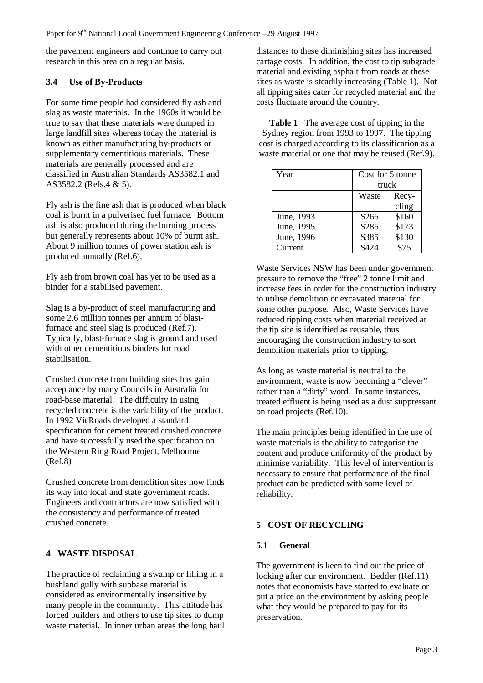the pavement engineers and continue to carry out research in this area on a regular basis.

## **3.4 Use of By-Products**

For some time people had considered fly ash and slag as waste materials. In the 1960s it would be true to say that these materials were dumped in large landfill sites whereas today the material is known as either manufacturing by-products or supplementary cementitious materials. These materials are generally processed and are classified in Australian Standards AS3582.1 and AS3582.2 (Refs.4 & 5).

Fly ash is the fine ash that is produced when black coal is burnt in a pulverised fuel furnace. Bottom ash is also produced during the burning process but generally represents about 10% of burnt ash. About 9 million tonnes of power station ash is produced annually (Ref.6).

Fly ash from brown coal has yet to be used as a binder for a stabilised pavement.

Slag is a by-product of steel manufacturing and some 2.6 million tonnes per annum of blastfurnace and steel slag is produced (Ref.7). Typically, blast-furnace slag is ground and used with other cementitious binders for road stabilisation.

Crushed concrete from building sites has gain acceptance by many Councils in Australia for road-base material. The difficulty in using recycled concrete is the variability of the product. In 1992 VicRoads developed a standard specification for cement treated crushed concrete and have successfully used the specification on the Western Ring Road Project, Melbourne (Ref.8)

Crushed concrete from demolition sites now finds its way into local and state government roads. Engineers and contractors are now satisfied with the consistency and performance of treated crushed concrete.

## **4 WASTE DISPOSAL**

The practice of reclaiming a swamp or filling in a bushland gully with subbase material is considered as environmentally insensitive by many people in the community. This attitude has forced builders and others to use tip sites to dump waste material. In inner urban areas the long haul distances to these diminishing sites has increased cartage costs. In addition, the cost to tip subgrade material and existing asphalt from roads at these sites as waste is steadily increasing (Table 1). Not all tipping sites cater for recycled material and the costs fluctuate around the country.

**Table 1** The average cost of tipping in the Sydney region from 1993 to 1997. The tipping cost is charged according to its classification as a waste material or one that may be reused (Ref.9).

| Year       | Cost for 5 tonne |       |  |
|------------|------------------|-------|--|
|            | truck            |       |  |
|            | Waste            | Recy- |  |
|            |                  | cling |  |
| June, 1993 | \$266            | \$160 |  |
| June, 1995 | \$286            | \$173 |  |
| June, 1996 | \$385            | \$130 |  |
| Current    |                  | \$75  |  |

Waste Services NSW has been under government pressure to remove the "free" 2 tonne limit and increase fees in order for the construction industry to utilise demolition or excavated material for some other purpose. Also, Waste Services have reduced tipping costs when material received at the tip site is identified as reusable, thus encouraging the construction industry to sort demolition materials prior to tipping.

As long as waste material is neutral to the environment, waste is now becoming a "clever" rather than a "dirty" word. In some instances, treated effluent is being used as a dust suppressant on road projects (Ref.10).

The main principles being identified in the use of waste materials is the ability to categorise the content and produce uniformity of the product by minimise variability. This level of intervention is necessary to ensure that performance of the final product can be predicted with some level of reliability.

## **5 COST OF RECYCLING**

## **5.1 General**

The government is keen to find out the price of looking after our environment. Bedder (Ref.11) notes that economists have started to evaluate or put a price on the environment by asking people what they would be prepared to pay for its preservation.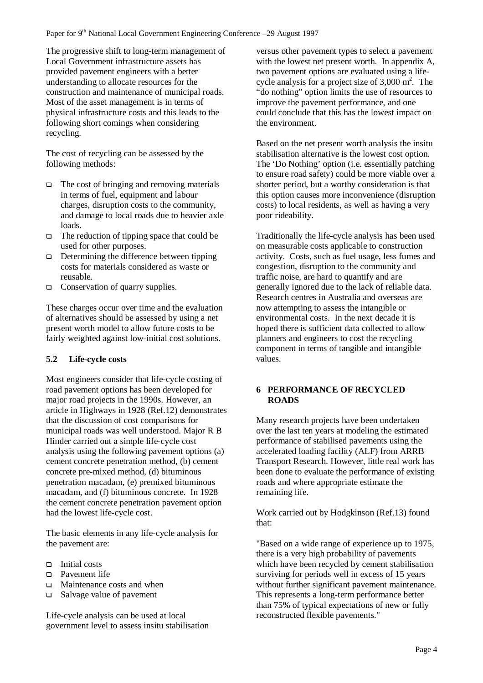The progressive shift to long-term management of Local Government infrastructure assets has provided pavement engineers with a better understanding to allocate resources for the construction and maintenance of municipal roads. Most of the asset management is in terms of physical infrastructure costs and this leads to the following short comings when considering recycling.

The cost of recycling can be assessed by the following methods:

- $\Box$  The cost of bringing and removing materials in terms of fuel, equipment and labour charges, disruption costs to the community, and damage to local roads due to heavier axle loads.
- $\Box$  The reduction of tipping space that could be used for other purposes.
- $\Box$  Determining the difference between tipping costs for materials considered as waste or reusable.
- $\Box$  Conservation of quarry supplies.

These charges occur over time and the evaluation of alternatives should be assessed by using a net present worth model to allow future costs to be fairly weighted against low-initial cost solutions.

## **5.2 Life-cycle costs**

Most engineers consider that life-cycle costing of road pavement options has been developed for major road projects in the 1990s. However, an article in Highways in 1928 (Ref.12) demonstrates that the discussion of cost comparisons for municipal roads was well understood. Major R B Hinder carried out a simple life-cycle cost analysis using the following pavement options (a) cement concrete penetration method, (b) cement concrete pre-mixed method, (d) bituminous penetration macadam, (e) premixed bituminous macadam, and (f) bituminous concrete. In 1928 the cement concrete penetration pavement option had the lowest life-cycle cost.

The basic elements in any life-cycle analysis for the pavement are:

- $\Box$  Initial costs
- Pavement life
- $\Box$  Maintenance costs and when
- $\square$  Salvage value of pavement

Life-cycle analysis can be used at local government level to assess insitu stabilisation versus other pavement types to select a pavement with the lowest net present worth. In appendix A, two pavement options are evaluated using a lifecycle analysis for a project size of  $3,000 \text{ m}^2$ . The "do nothing" option limits the use of resources to improve the pavement performance, and one could conclude that this has the lowest impact on the environment.

Based on the net present worth analysis the insitu stabilisation alternative is the lowest cost option. The 'Do Nothing' option (i.e. essentially patching to ensure road safety) could be more viable over a shorter period, but a worthy consideration is that this option causes more inconvenience (disruption costs) to local residents, as well as having a very poor rideability.

Traditionally the life-cycle analysis has been used on measurable costs applicable to construction activity. Costs, such as fuel usage, less fumes and congestion, disruption to the community and traffic noise, are hard to quantify and are generally ignored due to the lack of reliable data. Research centres in Australia and overseas are now attempting to assess the intangible or environmental costs. In the next decade it is hoped there is sufficient data collected to allow planners and engineers to cost the recycling component in terms of tangible and intangible values.

## **6 PERFORMANCE OF RECYCLED ROADS**

Many research projects have been undertaken over the last ten years at modeling the estimated performance of stabilised pavements using the accelerated loading facility (ALF) from ARRB Transport Research. However, little real work has been done to evaluate the performance of existing roads and where appropriate estimate the remaining life.

Work carried out by Hodgkinson (Ref.13) found that:

"Based on a wide range of experience up to 1975, there is a very high probability of pavements which have been recycled by cement stabilisation surviving for periods well in excess of 15 years without further significant pavement maintenance. This represents a long-term performance better than 75% of typical expectations of new or fully reconstructed flexible pavements."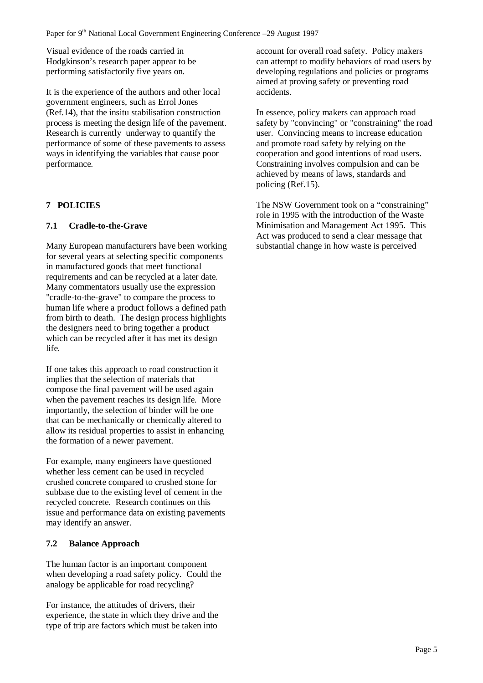Visual evidence of the roads carried in Hodgkinson's research paper appear to be performing satisfactorily five years on.

It is the experience of the authors and other local government engineers, such as Errol Jones (Ref.14), that the insitu stabilisation construction process is meeting the design life of the pavement. Research is currently underway to quantify the performance of some of these pavements to assess ways in identifying the variables that cause poor performance.

## **7 POLICIES**

## **7.1 Cradle-to-the-Grave**

Many European manufacturers have been working for several years at selecting specific components in manufactured goods that meet functional requirements and can be recycled at a later date. Many commentators usually use the expression "cradle-to-the-grave" to compare the process to human life where a product follows a defined path from birth to death. The design process highlights the designers need to bring together a product which can be recycled after it has met its design life.

If one takes this approach to road construction it implies that the selection of materials that compose the final pavement will be used again when the pavement reaches its design life. More importantly, the selection of binder will be one that can be mechanically or chemically altered to allow its residual properties to assist in enhancing the formation of a newer pavement.

For example, many engineers have questioned whether less cement can be used in recycled crushed concrete compared to crushed stone for subbase due to the existing level of cement in the recycled concrete. Research continues on this issue and performance data on existing pavements may identify an answer.

## **7.2 Balance Approach**

The human factor is an important component when developing a road safety policy. Could the analogy be applicable for road recycling?

For instance, the attitudes of drivers, their experience, the state in which they drive and the type of trip are factors which must be taken into

account for overall road safety. Policy makers can attempt to modify behaviors of road users by developing regulations and policies or programs aimed at proving safety or preventing road accidents.

In essence, policy makers can approach road safety by "convincing" or "constraining" the road user. Convincing means to increase education and promote road safety by relying on the cooperation and good intentions of road users. Constraining involves compulsion and can be achieved by means of laws, standards and policing (Ref.15).

The NSW Government took on a "constraining" role in 1995 with the introduction of the Waste Minimisation and Management Act 1995. This Act was produced to send a clear message that substantial change in how waste is perceived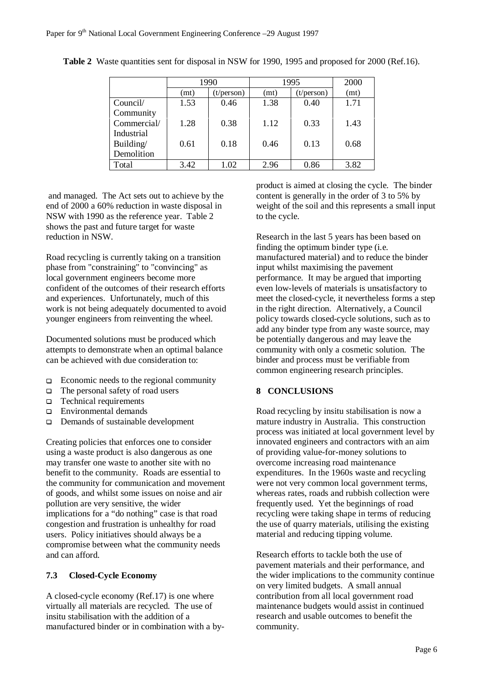|             | 1990 |                     | 1995 |                     | 2000 |
|-------------|------|---------------------|------|---------------------|------|
|             | (mt) | $(t/\text{person})$ | (mt) | $(t/\text{person})$ | (mt) |
| Council/    | 1.53 | 0.46                | 1.38 | 0.40                | 1.71 |
| Community   |      |                     |      |                     |      |
| Commercial/ | 1.28 | 0.38                | 1.12 | 0.33                | 1.43 |
| Industrial  |      |                     |      |                     |      |
| Building/   | 0.61 | 0.18                | 0.46 | 0.13                | 0.68 |
| Demolition  |      |                     |      |                     |      |
| Total       | 3.42 | 1.02                | 2.96 | 0.86                | 3.82 |

**Table 2** Waste quantities sent for disposal in NSW for 1990, 1995 and proposed for 2000 (Ref.16).

 and managed. The Act sets out to achieve by the end of 2000 a 60% reduction in waste disposal in NSW with 1990 as the reference year. Table 2 shows the past and future target for waste reduction in NSW.

Road recycling is currently taking on a transition phase from "constraining" to "convincing" as local government engineers become more confident of the outcomes of their research efforts and experiences. Unfortunately, much of this work is not being adequately documented to avoid younger engineers from reinventing the wheel.

Documented solutions must be produced which attempts to demonstrate when an optimal balance can be achieved with due consideration to:

- $\Box$  Economic needs to the regional community
- $\Box$  The personal safety of road users
- □ Technical requirements
- Environmental demands
- □ Demands of sustainable development

Creating policies that enforces one to consider using a waste product is also dangerous as one may transfer one waste to another site with no benefit to the community. Roads are essential to the community for communication and movement of goods, and whilst some issues on noise and air pollution are very sensitive, the wider implications for a "do nothing" case is that road congestion and frustration is unhealthy for road users. Policy initiatives should always be a compromise between what the community needs and can afford.

## **7.3 Closed-Cycle Economy**

A closed-cycle economy (Ref.17) is one where virtually all materials are recycled. The use of insitu stabilisation with the addition of a manufactured binder or in combination with a byproduct is aimed at closing the cycle. The binder content is generally in the order of 3 to 5% by weight of the soil and this represents a small input to the cycle.

Research in the last 5 years has been based on finding the optimum binder type (i.e. manufactured material) and to reduce the binder input whilst maximising the pavement performance. It may be argued that importing even low-levels of materials is unsatisfactory to meet the closed-cycle, it nevertheless forms a step in the right direction. Alternatively, a Council policy towards closed-cycle solutions, such as to add any binder type from any waste source, may be potentially dangerous and may leave the community with only a cosmetic solution. The binder and process must be verifiable from common engineering research principles.

## **8 CONCLUSIONS**

Road recycling by insitu stabilisation is now a mature industry in Australia. This construction process was initiated at local government level by innovated engineers and contractors with an aim of providing value-for-money solutions to overcome increasing road maintenance expenditures. In the 1960s waste and recycling were not very common local government terms, whereas rates, roads and rubbish collection were frequently used. Yet the beginnings of road recycling were taking shape in terms of reducing the use of quarry materials, utilising the existing material and reducing tipping volume.

Research efforts to tackle both the use of pavement materials and their performance, and the wider implications to the community continue on very limited budgets. A small annual contribution from all local government road maintenance budgets would assist in continued research and usable outcomes to benefit the community.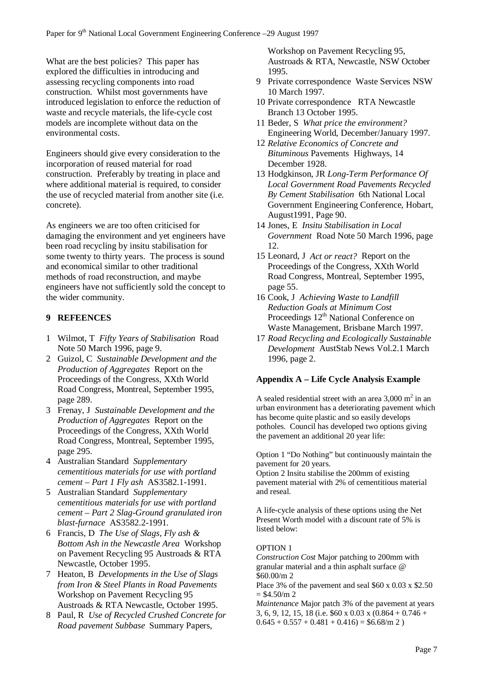What are the best policies? This paper has explored the difficulties in introducing and assessing recycling components into road construction. Whilst most governments have introduced legislation to enforce the reduction of waste and recycle materials, the life-cycle cost models are incomplete without data on the environmental costs.

Engineers should give every consideration to the incorporation of reused material for road construction. Preferably by treating in place and where additional material is required, to consider the use of recycled material from another site (i.e. concrete).

As engineers we are too often criticised for damaging the environment and yet engineers have been road recycling by insitu stabilisation for some twenty to thirty years. The process is sound and economical similar to other traditional methods of road reconstruction, and maybe engineers have not sufficiently sold the concept to the wider community.

### **9 REFEENCES**

- 1 Wilmot, T *Fifty Years of Stabilisation* Road Note 50 March 1996, page 9.
- 2 Guizol, C *Sustainable Development and the Production of Aggregates* Report on the Proceedings of the Congress, XXth World Road Congress, Montreal, September 1995, page 289.
- 3 Frenay, J *Sustainable Development and the Production of Aggregates* Report on the Proceedings of the Congress, XXth World Road Congress, Montreal, September 1995, page 295.
- 4 Australian Standard *Supplementary cementitious materials for use with portland cement – Part 1 Fly ash* AS3582.1-1991.
- 5 Australian Standard *Supplementary cementitious materials for use with portland cement – Part 2 Slag-Ground granulated iron blast-furnace* AS3582.2-1991.
- 6 Francis, D *The Use of Slags, Fly ash & Bottom Ash in the Newcastle Area* Workshop on Pavement Recycling 95 Austroads & RTA Newcastle, October 1995.
- 7 Heaton, B *Developments in the Use of Slags from Iron & Steel Plants in Road Pavements* Workshop on Pavement Recycling 95 Austroads & RTA Newcastle, October 1995.
- 8 Paul, R *Use of Recycled Crushed Concrete for Road pavement Subbase* Summary Papers,

Workshop on Pavement Recycling 95, Austroads & RTA, Newcastle, NSW October 1995.

- 9 Private correspondence Waste Services NSW 10 March 1997.
- 10 Private correspondence RTA Newcastle Branch 13 October 1995.
- 11 Beder, S *What price the environment?* Engineering World, December/January 1997.
- 12 *Relative Economics of Concrete and Bituminous* Pavements Highways, 14 December 1928.
- 13 Hodgkinson, JR *Long-Term Performance Of Local Government Road Pavements Recycled By Cement Stabilisation* 6th National Local Government Engineering Conference, Hobart, August1991, Page 90.
- 14 Jones, E *Insitu Stabilisation in Local Government* Road Note 50 March 1996, page 12.
- 15 Leonard, J *Act or react?* Report on the Proceedings of the Congress, XXth World Road Congress, Montreal, September 1995, page 55.
- 16 Cook, J *Achieving Waste to Landfill Reduction Goals at Minimum Cost* Proceedings 12<sup>th</sup> National Conference on Waste Management, Brisbane March 1997.
- 17 *Road Recycling and Ecologically Sustainable Development* AustStab News Vol.2.1 March 1996, page 2.

### **Appendix A – Life Cycle Analysis Example**

A sealed residential street with an area  $3,000 \text{ m}^2$  in an urban environment has a deteriorating pavement which has become quite plastic and so easily develops potholes. Council has developed two options giving the pavement an additional 20 year life:

Option 1 "Do Nothing" but continuously maintain the pavement for 20 years.

Option 2 Insitu stabilise the 200mm of existing pavement material with 2% of cementitious material and reseal.

A life-cycle analysis of these options using the Net Present Worth model with a discount rate of 5% is listed below:

### OPTION 1

*Construction Cost* Major patching to 200mm with granular material and a thin asphalt surface @ \$60.00/m 2

Place 3% of the pavement and seal \$60 x 0.03 x \$2.50  $=$  \$4.50/m 2

*Maintenance* Major patch 3% of the pavement at years 3, 6, 9, 12, 15, 18 (i.e.  $60 \times 0.03 \times (0.864 + 0.746 +$  $0.645 + 0.557 + 0.481 + 0.416$  = \$6.68/m 2)